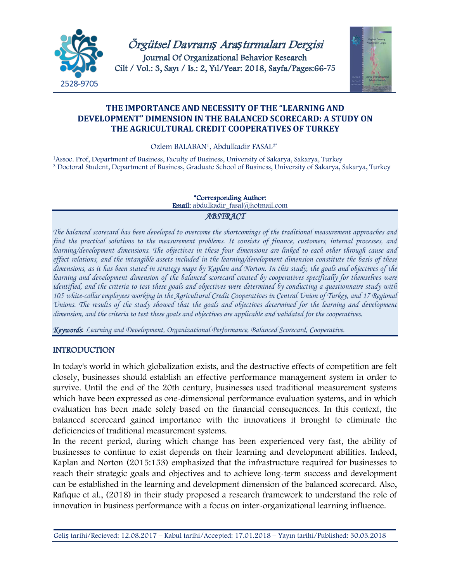

Örgütsel Davranı*ş* Ara*ş*tırmaları Dergisi Journal Of Organizational Behavior Research Cilt / Vol.: 3, Sayı / Is.: 2, Yıl/Year: 2018, Sayfa/Pages:66**-75**



# **THE IMPORTANCE AND NECESSITY OF THE "LEARNING AND DEVELOPMENT" DIMENSION IN THE BALANCED SCORECARD: A STUDY ON THE AGRICULTURAL CREDIT COOPERATIVES OF TURKEY**

Ozlem BALABAN1, Abdulkadir FASAL2\*

1Assoc. Prof, Department of Business, Faculty of Business, University of Sakarya, Sakarya, Turkey <sup>2</sup> Doctoral Student, Department of Business, Graduate School of Business, University of Sakarya, Sakarya, Turkey

# \*Corresponding Author:

Email: abdulkadir\_fasal@hotmail.com

## *ABSTRACT*

*The balanced scorecard has been developed to overcome the shortcomings of the traditional measurement approaches and find the practical solutions to the measurement problems. It consists of finance, customers, internal processes, and learning/development dimensions. The objectives in these four dimensions are linked to each other through cause and effect relations, and the intangible assets included in the learning/development dimension constitute the basis of these dimensions, as it has been stated in strategy maps by Kaplan and Norton. In this study, the goals and objectives of the learning and development dimension of the balanced scorecard created by cooperatives specifically for themselves were identified, and the criteria to test these goals and objectives were determined by conducting a questionnaire study with 105 white-collar employees working in the Agricultural Credit Cooperatives in Central Union of Turkey, and 17 Regional Unions. The results of the study showed that the goals and objectives determined for the learning and development dimension, and the criteria to test these goals and objectives are applicable and validated for the cooperatives.*

*Keywords*: *Learning and Development, Organizational Performance, Balanced Scorecard, Cooperative.*

# **INTRODUCTION**

In today's world in which globalization exists, and the destructive effects of competition are felt closely, businesses should establish an effective performance management system in order to survive. Until the end of the 20th century, businesses used traditional measurement systems which have been expressed as one-dimensional performance evaluation systems, and in which evaluation has been made solely based on the financial consequences. In this context, the balanced scorecard gained importance with the innovations it brought to eliminate the deficiencies of traditional measurement systems.

In the recent period, during which change has been experienced very fast, the ability of businesses to continue to exist depends on their learning and development abilities. Indeed, Kaplan and Norton (2015:153) emphasized that the infrastructure required for businesses to reach their strategic goals and objectives and to achieve long-term success and development can be established in the learning and development dimension of the balanced scorecard. Also, Rafique et al., (2018) in their study proposed a research framework to understand the role of innovation in business performance with a focus on inter-organizational learning influence.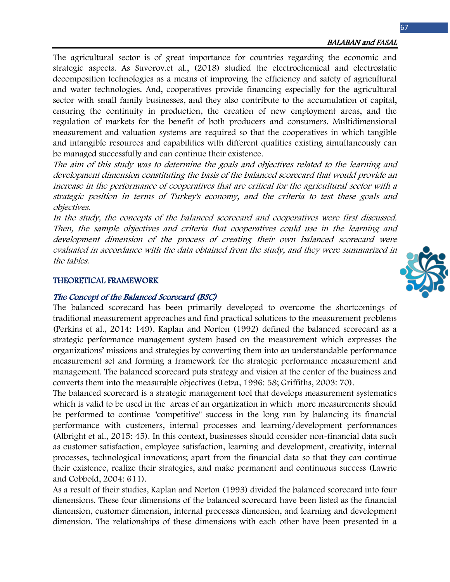The agricultural sector is of great importance for countries regarding the economic and strategic aspects. As Suvorov.et al., (2018) studied the electrochemical and electrostatic decomposition technologies as a means of improving the efficiency and safety of agricultural and water technologies. And, cooperatives provide financing especially for the agricultural sector with small family businesses, and they also contribute to the accumulation of capital, ensuring the continuity in production, the creation of new employment areas, and the regulation of markets for the benefit of both producers and consumers. Multidimensional measurement and valuation systems are required so that the cooperatives in which tangible and intangible resources and capabilities with different qualities existing simultaneously can be managed successfully and can continue their existence.

The aim of this study was to determine the goals and objectives related to the learning and development dimension constituting the basis of the balanced scorecard that would provide an increase in the performance of cooperatives that are critical for the agricultural sector with a strategic position in terms of Turkey's economy, and the criteria to test these goals and objectives.

In the study, the concepts of the balanced scorecard and cooperatives were first discussed. Then, the sample objectives and criteria that cooperatives could use in the learning and development dimension of the process of creating their own balanced scorecard were evaluated in accordance with the data obtained from the study, and they were summarized in the tables.

#### THEORETICAL FRAMEWORK

#### The Concept of the Balanced Scorecard (BSC)

The balanced scorecard has been primarily developed to overcome the shortcomings of traditional measurement approaches and find practical solutions to the measurement problems (Perkins et al., 2014: 149). Kaplan and Norton (1992) defined the balanced scorecard as a strategic performance management system based on the measurement which expresses the organizations' missions and strategies by converting them into an understandable performance measurement set and forming a framework for the strategic performance measurement and management. The balanced scorecard puts strategy and vision at the center of the business and converts them into the measurable objectives (Letza, 1996: 58; Griffiths, 2003: 70).

The balanced scorecard is a strategic management tool that develops measurement systematics which is valid to be used in the areas of an organization in which more measurements should be performed to continue "competitive" success in the long run by balancing its financial performance with customers, internal processes and learning/development performances (Albright et al., 2015: 45). In this context, businesses should consider non-financial data such as customer satisfaction, employee satisfaction, learning and development, creativity, internal processes, technological innovations; apart from the financial data so that they can continue their existence, realize their strategies, and make permanent and continuous success (Lawrie and Cobbold, 2004: 611).

As a result of their studies, Kaplan and Norton (1993) divided the balanced scorecard into four dimensions. These four dimensions of the balanced scorecard have been listed as the financial dimension, customer dimension, internal processes dimension, and learning and development dimension. The relationships of these dimensions with each other have been presented in a

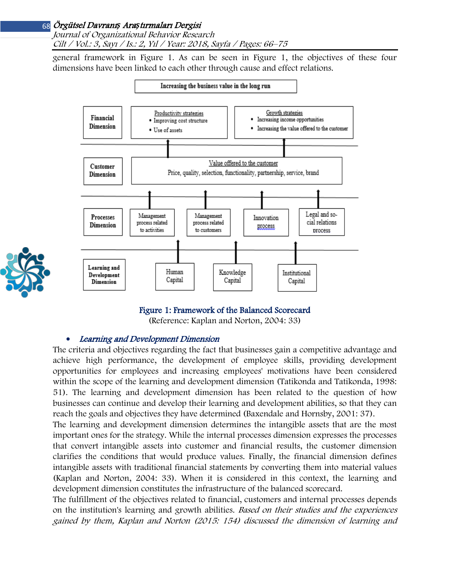Journal of Organizational Behavior Research Cilt / Vol.: 3, Sayı / Is.: 2, Yıl / Year: 2018, Sayfa / Pages: 66–75

general framework in Figure 1. As can be seen in Figure 1, the objectives of these four dimensions have been linked to each other through cause and effect relations.



#### Figure 1: Framework of the Balanced Scorecard

(Reference: Kaplan and Norton, 2004: 33)

#### • Learning and Development Dimension

The criteria and objectives regarding the fact that businesses gain a competitive advantage and achieve high performance, the development of employee skills, providing development opportunities for employees and increasing employees' motivations have been considered within the scope of the learning and development dimension (Tatikonda and Tatikonda, 1998: 51). The learning and development dimension has been related to the question of how businesses can continue and develop their learning and development abilities, so that they can reach the goals and objectives they have determined (Baxendale and Hornsby, 2001: 37).

The learning and development dimension determines the intangible assets that are the most important ones for the strategy. While the internal processes dimension expresses the processes that convert intangible assets into customer and financial results, the customer dimension clarifies the conditions that would produce values. Finally, the financial dimension defines intangible assets with traditional financial statements by converting them into material values (Kaplan and Norton, 2004: 33). When it is considered in this context, the learning and development dimension constitutes the infrastructure of the balanced scorecard.

The fulfillment of the objectives related to financial, customers and internal processes depends on the institution's learning and growth abilities. Based on their studies and the experiences gained by them, Kaplan and Norton (2015: 154) discussed the dimension of learning and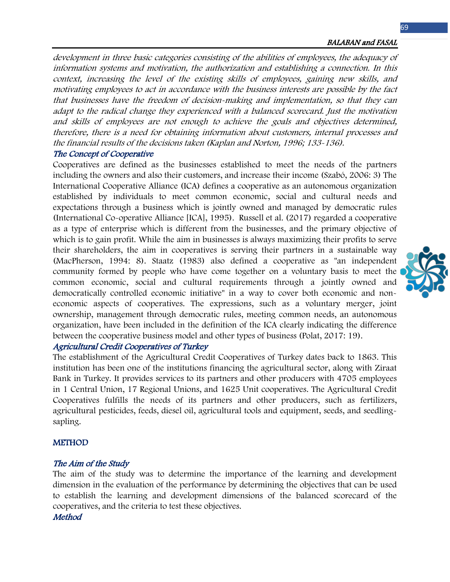development in three basic categories consisting of the abilities of employees, the adequacy of information systems and motivation, the authorization and establishing a connection. In this context, increasing the level of the existing skills of employees, gaining new skills, and motivating employees to act in accordance with the business interests are possible by the fact that businesses have the freedom of decision-making and implementation, so that they can adapt to the radical change they experienced with a balanced scorecard. Just the motivation and skills of employees are not enough to achieve the goals and objectives determined, therefore, there is a need for obtaining information about customers, internal processes and the financial results of the decisions taken (Kaplan and Norton, 1996; 133-136).

## The Concept of Cooperative

Cooperatives are defined as the businesses established to meet the needs of the partners including the owners and also their customers, and increase their income (Szabó, 2006: 3) The International Cooperative Alliance (ICA) defines a cooperative as an autonomous organization established by individuals to meet common economic, social and cultural needs and expectations through a business which is jointly owned and managed by democratic rules (International Co-operative Alliance [ICA], 1995). Russell et al. (2017) regarded a cooperative as a type of enterprise which is different from the businesses, and the primary objective of which is to gain profit. While the aim in businesses is always maximizing their profits to serve their shareholders, the aim in cooperatives is serving their partners in a sustainable way (MacPherson, 1994: 8). Staatz (1983) also defined a cooperative as "an independent community formed by people who have come together on a voluntary basis to meet the common economic, social and cultural requirements through a jointly owned and democratically controlled economic initiative" in a way to cover both economic and noneconomic aspects of cooperatives. The expressions, such as a voluntary merger, joint ownership, management through democratic rules, meeting common needs, an autonomous organization, have been included in the definition of the ICA clearly indicating the difference between the cooperative business model and other types of business (Polat, 2017: 19).

## Agricultural Credit Cooperatives of Turkey

The establishment of the Agricultural Credit Cooperatives of Turkey dates back to 1863. This institution has been one of the institutions financing the agricultural sector, along with Ziraat Bank in Turkey. It provides services to its partners and other producers with 4705 employees in 1 Central Union, 17 Regional Unions, and 1625 Unit cooperatives. The Agricultural Credit Cooperatives fulfills the needs of its partners and other producers, such as fertilizers, agricultural pesticides, feeds, diesel oil, agricultural tools and equipment, seeds, and seedlingsapling.

#### **METHOD**

## The Aim of the Study

The aim of the study was to determine the importance of the learning and development dimension in the evaluation of the performance by determining the objectives that can be used to establish the learning and development dimensions of the balanced scorecard of the cooperatives, and the criteria to test these objectives. **Method** 

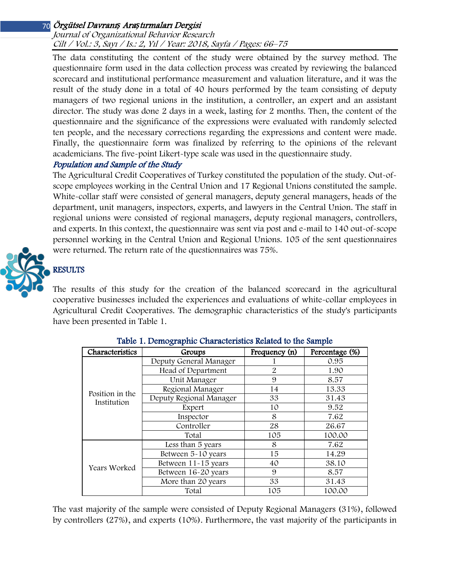Journal of Organizational Behavior Research Cilt / Vol.: 3, Sayı / Is.: 2, Yıl / Year: 2018, Sayfa / Pages: 66–75

The data constituting the content of the study were obtained by the survey method. The questionnaire form used in the data collection process was created by reviewing the balanced scorecard and institutional performance measurement and valuation literature, and it was the result of the study done in a total of 40 hours performed by the team consisting of deputy managers of two regional unions in the institution, a controller, an expert and an assistant director. The study was done 2 days in a week, lasting for 2 months. Then, the content of the questionnaire and the significance of the expressions were evaluated with randomly selected ten people, and the necessary corrections regarding the expressions and content were made. Finally, the questionnaire form was finalized by referring to the opinions of the relevant academicians. The five-point Likert-type scale was used in the questionnaire study.

# Population and Sample of the Study

The Agricultural Credit Cooperatives of Turkey constituted the population of the study. Out-ofscope employees working in the Central Union and 17 Regional Unions constituted the sample. White-collar staff were consisted of general managers, deputy general managers, heads of the department, unit managers, inspectors, experts, and lawyers in the Central Union. The staff in regional unions were consisted of regional managers, deputy regional managers, controllers, and experts. In this context, the questionnaire was sent via post and e-mail to 140 out-of-scope personnel working in the Central Union and Regional Unions. 105 of the sent questionnaires were returned. The return rate of the questionnaires was 75%.



# **RESULTS**

The results of this study for the creation of the balanced scorecard in the agricultural cooperative businesses included the experiences and evaluations of white-collar employees in Agricultural Credit Cooperatives. The demographic characteristics of the study's participants have been presented in Table 1.

| Characteristics                | Groups                  | Frequency (n) | Percentage (%) |  |  |
|--------------------------------|-------------------------|---------------|----------------|--|--|
| Position in the<br>Institution | Deputy General Manager  |               | 0.95           |  |  |
|                                | Head of Department      | 2             | 1.90           |  |  |
|                                | Unit Manager            | 9             | 8.57           |  |  |
|                                | Regional Manager        | 14            | 13.33          |  |  |
|                                | Deputy Regional Manager | 33            | 31.43          |  |  |
|                                | Expert                  | 10            | 9.52           |  |  |
|                                | Inspector               | 8             | 7.62           |  |  |
|                                | Controller              | 28            | 26.67          |  |  |
|                                | Total                   | 105           | 100.00         |  |  |
|                                | Less than 5 years       | 8             | 7.62           |  |  |
| Years Worked                   | Between 5-10 years      | 15            | 14.29          |  |  |
|                                | Between 11-15 years     | 40            | 38.10          |  |  |
|                                | Between 16-20 years     | 9             | 8.57           |  |  |
|                                | More than 20 years      | 33            | 31.43          |  |  |
|                                | Total                   | 105           | 100.00         |  |  |

The vast majority of the sample were consisted of Deputy Regional Managers (31%), followed by controllers (27%), and experts (10%). Furthermore, the vast majority of the participants in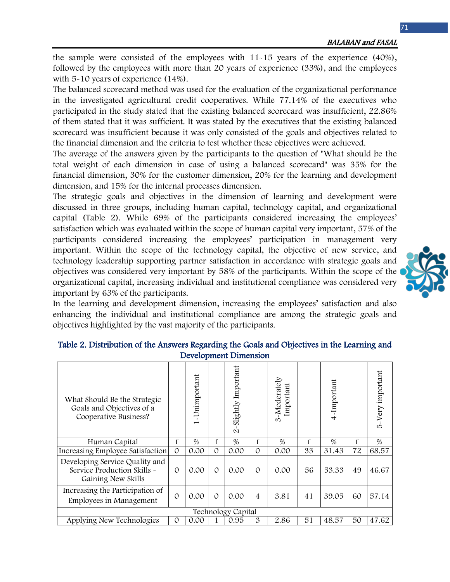the sample were consisted of the employees with 11-15 years of the experience (40%), followed by the employees with more than 20 years of experience (33%), and the employees with 5-10 years of experience (14%).

The balanced scorecard method was used for the evaluation of the organizational performance in the investigated agricultural credit cooperatives. While 77.14% of the executives who participated in the study stated that the existing balanced scorecard was insufficient, 22.86% of them stated that it was sufficient. It was stated by the executives that the existing balanced scorecard was insufficient because it was only consisted of the goals and objectives related to the financial dimension and the criteria to test whether these objectives were achieved.

The average of the answers given by the participants to the question of "What should be the total weight of each dimension in case of using a balanced scorecard" was 35% for the financial dimension, 30% for the customer dimension, 20% for the learning and development dimension, and 15% for the internal processes dimension.

The strategic goals and objectives in the dimension of learning and development were discussed in three groups, including human capital, technology capital, and organizational capital (Table 2). While 69% of the participants considered increasing the employees' satisfaction which was evaluated within the scope of human capital very important, 57% of the participants considered increasing the employees' participation in management very important. Within the scope of the technology capital, the objective of new service, and technology leadership supporting partner satisfaction in accordance with strategic goals and objectives was considered very important by 58% of the participants. Within the scope of the organizational capital, increasing individual and institutional compliance was considered very important by 63% of the participants.

In the learning and development dimension, increasing the employees' satisfaction and also enhancing the individual and institutional compliance are among the strategic goals and objectives highlighted by the vast majority of the participants.

| What Should Be the Strategic<br>Goals and Objectives of a<br>Cooperative Business?  |               | -Unimportant<br>$\overline{ }$ |          | Slightly Important<br>$\mathbf{\Omega}$ |                | $3\mbox{-}\textsf{Moderately}$<br>Important |    | 4-Important   |    | 5-Very important |
|-------------------------------------------------------------------------------------|---------------|--------------------------------|----------|-----------------------------------------|----------------|---------------------------------------------|----|---------------|----|------------------|
| Human Capital                                                                       |               | $\frac{0}{20}$                 | f        | %                                       | $\mathbf f$    | $\frac{0}{0}$                               | f  | $\frac{0}{6}$ |    | $\%$             |
| Increasing Employee Satisfaction                                                    | $\mathcal{O}$ | 0.00                           | $\Omega$ | 0.00                                    | $\Omega$       | 0.00                                        | 33 | 31.43         | 72 | 68.57            |
| Developing Service Quality and<br>Service Production Skills ~<br>Gaining New Skills |               | 0.00                           | $\Omega$ | 0.00                                    | $\Omega$       | 0.00                                        | 56 | 53.33         | 49 | 46.67            |
| Increasing the Participation of<br>Employees in Management                          |               | 0.00                           | $\Omega$ | 0.00                                    | $\overline{4}$ | 3.81                                        | 41 | 39.05         | 60 | 57.14            |
| Technology Capital                                                                  |               |                                |          |                                         |                |                                             |    |               |    |                  |
| Applying New Technologies                                                           | $\Omega$      | 0.00                           |          | 0.95                                    | 3              | 2.86                                        | 51 | 48.57         | 50 | 47.62            |

## Table 2. Distribution of the Answers Regarding the Goals and Objectives in the Learning and Development Dimension

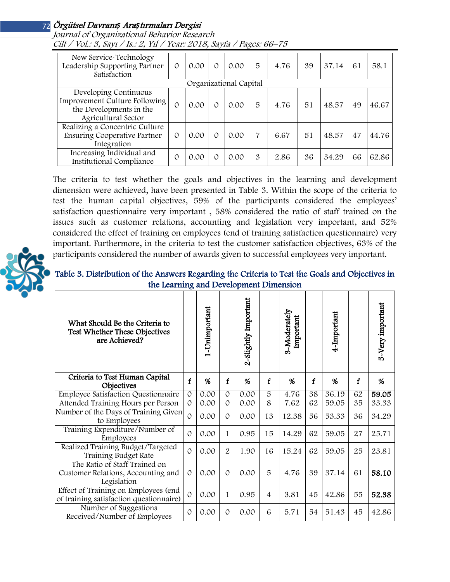Journal of Organizational Behavior Research Cilt / Vol.: 3, Sayı / Is.: 2, Yıl / Year: 2018, Sayfa / Pages: 66–75

| New Service-Technology<br>Leadership Supporting Partner<br>Satisfaction                                  | $\Omega$ | 0.00 | $\Omega$ | 0.00 | 5 | 4.76 | 39 | 37.14 | 61 | 58.1  |
|----------------------------------------------------------------------------------------------------------|----------|------|----------|------|---|------|----|-------|----|-------|
| Organizational Capital                                                                                   |          |      |          |      |   |      |    |       |    |       |
| Developing Continuous<br>Improvement Culture Following<br>the Developments in the<br>Agricultural Sector | 0        | 0.00 | $\Omega$ | 0.00 | 5 | 4.76 | 51 | 48.57 | 49 | 46.67 |
| Realizing a Concentric Culture<br>Ensuring Cooperative Partner<br>Integration                            | $\Omega$ | 0.00 | $\Omega$ | 0.00 | 7 | 6.67 | 51 | 48.57 | 47 | 44.76 |
| Increasing Individual and<br><b>Institutional Compliance</b>                                             | 0        | 0.00 | $\Omega$ | 0.00 | 3 | 2.86 | 36 | 34.29 | 66 | 62.86 |

The criteria to test whether the goals and objectives in the learning and development dimension were achieved, have been presented in Table 3. Within the scope of the criteria to test the human capital objectives, 59% of the participants considered the employees' satisfaction questionnaire very important , 58% considered the ratio of staff trained on the issues such as customer relations, accounting and legislation very important, and 52% considered the effect of training on employees (end of training satisfaction questionnaire) very important. Furthermore, in the criteria to test the customer satisfaction objectives, 63% of the participants considered the number of awards given to successful employees very important.



Table 3. Distribution of the Answers Regarding the Criteria to Test the Goals and Objectives in the Learning and Development Dimension

| What Should Be the Criteria to<br>Test Whether These Objectives<br>are Achieved?   |               | 1-Unimportant |               | 2-Slightly Important |                | 3-Moderately<br>Important |             | 4-Important |    | 5-Very important |
|------------------------------------------------------------------------------------|---------------|---------------|---------------|----------------------|----------------|---------------------------|-------------|-------------|----|------------------|
| Criteria to Test Human Capital<br>Objectives                                       |               | %             | f             | %                    | $\mathbf f$    | %                         | $\mathbf f$ | %           | f  | %                |
| <b>Employee Satisfaction Questionnaire</b>                                         | $\mathcal{O}$ | 0.00          | $\mathcal{O}$ | 0.00                 | 5              | 4.76                      | 38          | 36.19       | 62 | 59.05            |
| Attended Training Hours per Person                                                 | $\mathcal{O}$ | 0.00          | $\mathcal{O}$ | 0.00                 | 8              | 7.62                      | 62          | 59.05       | 35 | 33.33            |
| Number of the Days of Training Given<br>to Employees                               | $\mathcal{O}$ | 0.00          | $\mathcal{O}$ | 0.00                 | 13             | 12.38                     | 56          | 53.33       | 36 | 34.29            |
| Training Expenditure/Number of<br>Employees                                        | $\Omega$      | 0.00          | 1             | 0.95                 | 15             | 14.29                     | 62          | 59.05       | 27 | 25.71            |
| Realized Training Budget/Targeted<br>Training Budget Rate                          | $\Omega$      | 0.00          | 2             | 1.90                 | 16             | 15.24                     | 62          | 59.05       | 25 | 23.81            |
| The Ratio of Staff Trained on<br>Customer Relations, Accounting and<br>Legislation | $\mathcal{O}$ | 0.00          | $\Omega$      | 0.00                 | 5              | 4.76                      | 39          | 37.14       | 61 | 58.10            |
| Effect of Training on Employees (end<br>of training satisfaction questionnaire)    | $\Omega$      | 0.00          | 1             | 0.95                 | $\overline{4}$ | 3.81                      | 45          | 42.86       | 55 | 52.38            |
| Number of Suggestions<br>Received/Number of Employees                              | $\Omega$      | 0.00          | $\mathcal{O}$ | 0.00                 | 6              | 5.71                      | 54          | 51.43       | 45 | 42.86            |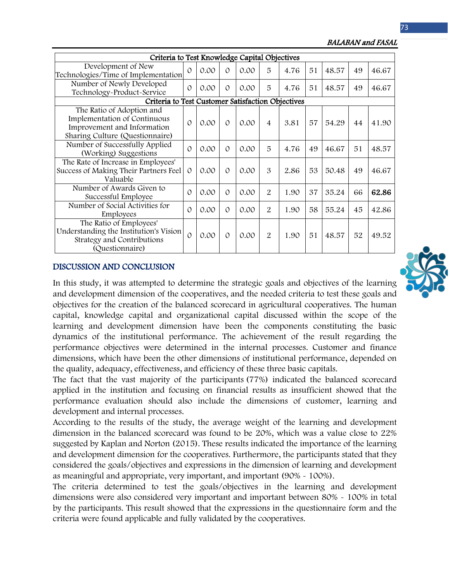Criteria to Test Knowledge Capital Objectives Development of New Technologies/Time of Implementation <sup>0</sup> 0.00 <sup>0</sup> 0.00 <sup>5</sup> 4.76 <sup>51</sup> 48.57 <sup>49</sup> 46.67 Number of Newly Developed Number of Newly Developed<br>Technology-Product-Service  $\begin{bmatrix} 0 & 0.00 & 0 \\ 0 & 0.00 & 0 \\ 0 & 0 & 0 \end{bmatrix}$  [5 | 4.76 | 51 | 48.57 | 49 | 46.67 Criteria to Test Customer Satisfaction Objectives The Ratio of Adoption and Implementation of Continuous Improvement and Information Sharing Culture (Questionnaire) 0 0.00 0 0.00 4 3.81 57 54.29 44 41.90 Number of Successfully Applied (Working) Suggestions  $\begin{bmatrix} 0 & 0.00 & 0 & 0.00 & 5 & 4.76 & 49 & 46.67 & 51 & 48.57 \end{bmatrix}$ The Rate of Increase in Employees' Success of Making Their Partners Feel Valuable 0 0.00 0 0.00 3 2.86 53 50.48 49 46.67 Number of Awards Given to Successful Employee  $\begin{bmatrix} 0 & 0.00 & 0 \\ 0 & 0.00 & 0 \\ 0 & 0.00 & 2 \\ 0 & 0.00 & 2 \\ 0 & 0.00 & 0 \\ 0 & 0 & 0.00 \\ 0 & 0 & 0.00 \\ 0 & 0 & 0.00 \\ 0 & 0 & 0.00 \\ 0 & 0 & 0.00 \\ 0 & 0 & 0.00 \\ 0 & 0 & 0.00 \\ 0 & 0 & 0.00 \\ 0 & 0 & 0.00 \\ 0 & 0 & 0.00 \\ 0 & 0 & 0.00 \\ 0$ Number of Social Activities for Employees 0 0.00 0.00 0.00 2 1.90 58 55.24 45 42.86 The Ratio of Employees' Understanding the Institution's Vision Strategy and Contributions (Questionnaire) 0 0.00 0 0.00 2 1.90 51 48.57 52 49.52

#### BALABAN and FASAL

## DISCUSSION AND CONCLUSION

In this study, it was attempted to determine the strategic goals and objectives of the learning and development dimension of the cooperatives, and the needed criteria to test these goals and objectives for the creation of the balanced scorecard in agricultural cooperatives. The human capital, knowledge capital and organizational capital discussed within the scope of the learning and development dimension have been the components constituting the basic dynamics of the institutional performance. The achievement of the result regarding the performance objectives were determined in the internal processes. Customer and finance dimensions, which have been the other dimensions of institutional performance, depended on the quality, adequacy, effectiveness, and efficiency of these three basic capitals.

The fact that the vast majority of the participants (77%) indicated the balanced scorecard applied in the institution and focusing on financial results as insufficient showed that the performance evaluation should also include the dimensions of customer, learning and development and internal processes.

According to the results of the study, the average weight of the learning and development dimension in the balanced scorecard was found to be 20%, which was a value close to 22% suggested by Kaplan and Norton (2015). These results indicated the importance of the learning and development dimension for the cooperatives. Furthermore, the participants stated that they considered the goals/objectives and expressions in the dimension of learning and development as meaningful and appropriate, very important, and important (90% - 100%).

The criteria determined to test the goals/objectives in the learning and development dimensions were also considered very important and important between 80% - 100% in total by the participants. This result showed that the expressions in the questionnaire form and the criteria were found applicable and fully validated by the cooperatives.

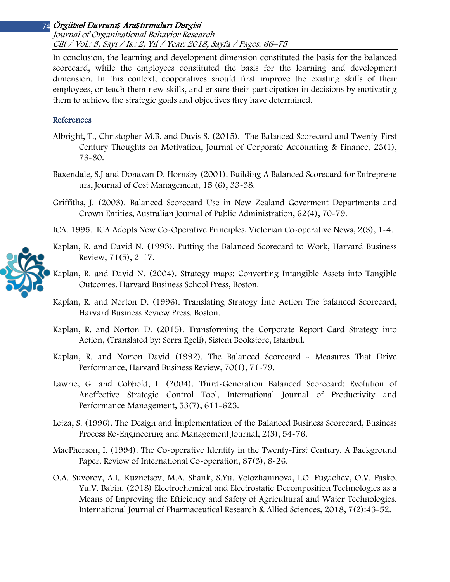Journal of Organizational Behavior Research Cilt / Vol.: 3, Sayı / Is.: 2, Yıl / Year: 2018, Sayfa / Pages: 66–75

In conclusion, the learning and development dimension constituted the basis for the balanced scorecard, while the employees constituted the basis for the learning and development dimension. In this context, cooperatives should first improve the existing skills of their employees, or teach them new skills, and ensure their participation in decisions by motivating them to achieve the strategic goals and objectives they have determined.

## References

- Albright, T., Christopher M.B. and Davis S. (2015). The Balanced Scorecard and Twenty-First Century Thoughts on Motivation, Journal of Corporate Accounting & Finance, 23(1), 73-80.
- Baxendale, S.J and Donavan D. Hornsby (2001). Building A Balanced Scorecard for Entreprene urs, Journal of Cost Management, 15 (6), 33-38.
- Griffiths, J. (2003). Balanced Scorecard Use in New Zealand Goverment Departments and Crown Entities, Australian Journal of Public Administration, 62(4), 70-79.
- ICA. 1995. ICA Adopts New Co-Operative Principles, Victorian Co-operative News, 2(3), 1-4.
- Kaplan, R. and David N. (1993). Putting the Balanced Scorecard to Work, Harvard Business Review, 71(5), 2-17.
- Kaplan, R. and David N. (2004). Strategy maps: Converting Intangible Assets into Tangible Outcomes. Harvard Business School Press, Boston.
- Kaplan, R. and Norton D. (1996). Translating Strategy İnto Action The balanced Scorecard, Harvard Business Review Press. Boston.
- Kaplan, R. and Norton D. (2015). Transforming the Corporate Report Card Strategy into Action, (Translated by: Serra Egeli), Sistem Bookstore, Istanbul.
- Kaplan, R. and Norton David (1992). The Balanced Scorecard Measures That Drive Performance, Harvard Business Review, 70(1), 71-79.
- Lawrie, G. and Cobbold, I. (2004). Third-Generation Balanced Scorecard: Evolution of Aneffective Strategic Control Tool, International Journal of Productivity and Performance Management, 53(7), 611-623.
- Letza, S. (1996). The Design and İmplementation of the Balanced Business Scorecard, Business Process Re-Engineering and Management Journal, 2(3), 54-76.
- MacPherson, I. (1994). The Co-operative Identity in the Twenty-First Century. A Background Paper. Review of International Co-operation, 87(3), 8-26.
- O.A. Suvorov, A.L. Kuznetsov, M.A. Shank, S.Yu. Volozhaninova, I.O. Pugachev, O.V. Pasko, Yu.V. Babin. (2018) Electrochemical and Electrostatic Decomposition Technologies as a Means of Improving the Efficiency and Safety of Agricultural and Water Technologies. International Journal of Pharmaceutical Research & Allied Sciences, 2018, 7(2):43-52.